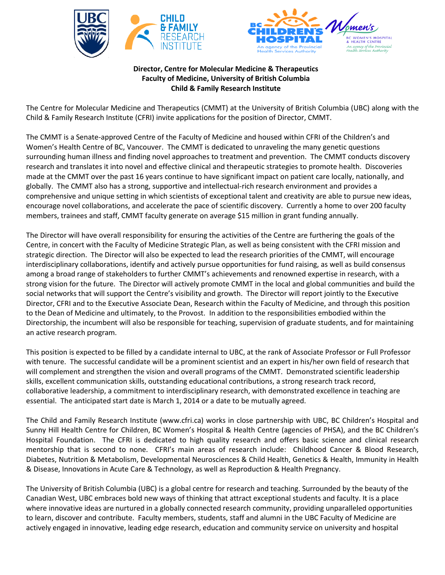



**Director, Centre for Molecular Medicine & Therapeutics Faculty of Medicine, University of British Columbia Child & Family Research Institute**

The Centre for Molecular Medicine and Therapeutics (CMMT) at the University of British Columbia (UBC) along with the Child & Family Research Institute (CFRI) invite applications for the position of Director, CMMT.

The CMMT is a Senate-approved Centre of the Faculty of Medicine and housed within CFRI of the Children's and Women's Health Centre of BC, Vancouver. The CMMT is dedicated to unraveling the many genetic questions surrounding human illness and finding novel approaches to treatment and prevention. The CMMT conducts discovery research and translates it into novel and effective clinical and therapeutic strategies to promote health. Discoveries made at the CMMT over the past 16 years continue to have significant impact on patient care locally, nationally, and globally. The CMMT also has a strong, supportive and intellectual-rich research environment and provides a comprehensive and unique setting in which scientists of exceptional talent and creativity are able to pursue new ideas, encourage novel collaborations, and accelerate the pace of scientific discovery. Currently a home to over 200 faculty members, trainees and staff, CMMT faculty generate on average \$15 million in grant funding annually.

The Director will have overall responsibility for ensuring the activities of the Centre are furthering the goals of the Centre, in concert with the Faculty of Medicine Strategic Plan, as well as being consistent with the CFRI mission and strategic direction. The Director will also be expected to lead the research priorities of the CMMT, will encourage interdisciplinary collaborations, identify and actively pursue opportunities for fund raising, as well as build consensus among a broad range of stakeholders to further CMMT's achievements and renowned expertise in research, with a strong vision for the future. The Director will actively promote CMMT in the local and global communities and build the social networks that will support the Centre's visibility and growth. The Director will report jointly to the Executive Director, CFRI and to the Executive Associate Dean, Research within the Faculty of Medicine, and through this position to the Dean of Medicine and ultimately, to the Provost. In addition to the responsibilities embodied within the Directorship, the incumbent will also be responsible for teaching, supervision of graduate students, and for maintaining an active research program.

This position is expected to be filled by a candidate internal to UBC, at the rank of Associate Professor or Full Professor with tenure. The successful candidate will be a prominent scientist and an expert in his/her own field of research that will complement and strengthen the vision and overall programs of the CMMT. Demonstrated scientific leadership skills, excellent communication skills, outstanding educational contributions, a strong research track record, collaborative leadership, a commitment to interdisciplinary research, with demonstrated excellence in teaching are essential. The anticipated start date is March 1, 2014 or a date to be mutually agreed.

The Child and Family Research Institute (www.cfri.ca) works in close partnership with UBC, BC Children's Hospital and Sunny Hill Health Centre for Children, BC Women's Hospital & Health Centre (agencies of PHSA), and the BC Children's Hospital Foundation. The CFRI is dedicated to high quality research and offers basic science and clinical research mentorship that is second to none. CFRI's main areas of research include: Childhood Cancer & Blood Research, Diabetes, Nutrition & Metabolism, Developmental Neurosciences & Child Health, Genetics & Health, Immunity in Health & Disease, Innovations in Acute Care & Technology, as well as Reproduction & Health Pregnancy.

The University of British Columbia (UBC) is a global centre for research and teaching. Surrounded by the beauty of the Canadian West, UBC embraces bold new ways of thinking that attract exceptional students and faculty. It is a place where innovative ideas are nurtured in a globally connected research community, providing unparalleled opportunities to learn, discover and contribute. Faculty members, students, staff and alumni in the UBC Faculty of Medicine are actively engaged in innovative, leading edge research, education and community service on university and hospital